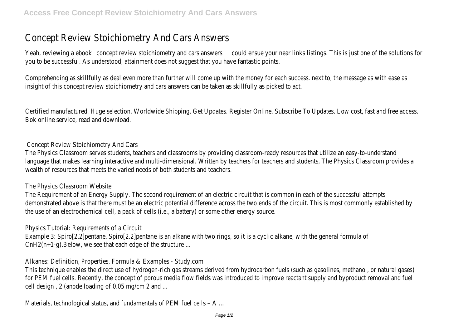## Concept Review Stoichiometry And Cars Answers

Yeah, reviewing a eboot cept review stoichiometry and cars and sear and sear links listings. This is just one of the solut you to be successful. As understood, attainment does not suggest that you have fantastic points.

Comprehending as skillfully as deal even more than further will come up with the money for each success. next to, the r insight of this concept review stoichiometry and cars answers can be taken as skillfully as picked to act.

Certified manufactured. Huge selection. Worldwide Shipping. Get Updates. Register Online. Subscribe To Updates. Low cos Bok online service, read and download.

Concept Review Stoichiometry And Cars

The Physics Classroom serves students, teachers and classrooms by providing classroom-ready resources that utilize an language that makes learning interactive and multi-dimensional. Written by teachers for teachers and students, The Phys wealth of resources that meets the varied needs of both students and teachers.

The Physics Classroom Website

The Requirement of an Energy Supply. The second requirement of an electric circuit that is common in each of the succe demonstrated above is that there must be an electric potential difference across the two ends of the circuit. This is mo the use of an electrochemical cell, a pack of cells (i.e., a battery) or some other energy source.

Physics Tutorial: Requirements of a Circuit

Example 3: Spiro[2.2]pentane. Spiro[2.2]pentane is an alkane with two rings, so it is a cyclic alkane, with the general for CnH2(n+1-g).Below, we see that each edge of the structure ...

Alkanes: Definition, Properties, Formula & Examples - Study.com

This technique enables the direct use of hydrogen-rich gas streams derived from hydrocarbon fuels (such as gasolines, m for PEM fuel cells. Recently, the concept of porous media flow fields was introduced to improve reactant supply and byp cell design , 2 (anode loading of 0.05 mg/cm 2 and ...

Materials, technological status, and fundamentals of PEM fuel cells – A ...